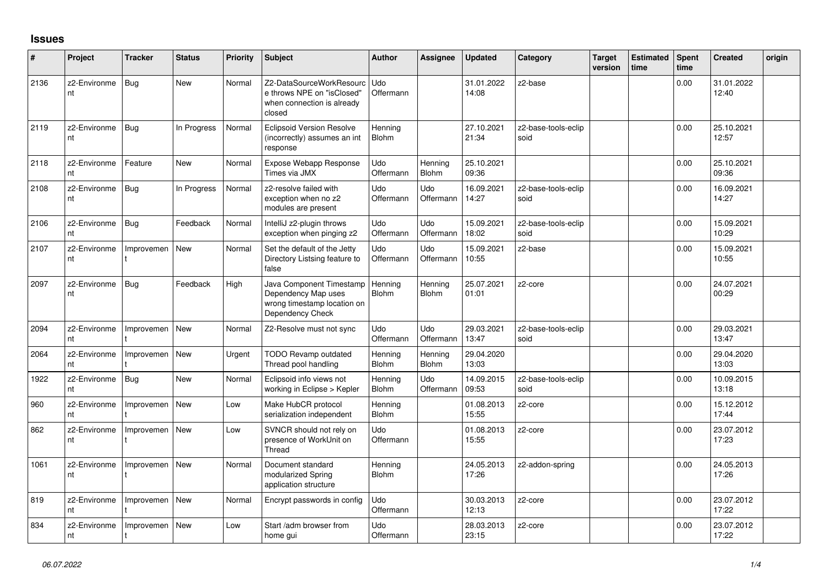## **Issues**

| #    | Project            | <b>Tracker</b> | <b>Status</b> | <b>Priority</b> | <b>Subject</b>                                                                                     | <b>Author</b>           | Assignee                | <b>Updated</b>      | Category                    | <b>Target</b><br>version | <b>Estimated</b><br>time | Spent<br>time | <b>Created</b>      | origin |
|------|--------------------|----------------|---------------|-----------------|----------------------------------------------------------------------------------------------------|-------------------------|-------------------------|---------------------|-----------------------------|--------------------------|--------------------------|---------------|---------------------|--------|
| 2136 | z2-Environme<br>nt | <b>Bug</b>     | <b>New</b>    | Normal          | Z2-DataSourceWorkResourc<br>e throws NPE on "isClosed"<br>when connection is already<br>closed     | <b>Udo</b><br>Offermann |                         | 31.01.2022<br>14:08 | z2-base                     |                          |                          | 0.00          | 31.01.2022<br>12:40 |        |
| 2119 | z2-Environme<br>nt | <b>Bug</b>     | In Progress   | Normal          | <b>Eclipsoid Version Resolve</b><br>(incorrectly) assumes an int<br>response                       | Henning<br><b>Blohm</b> |                         | 27.10.2021<br>21:34 | z2-base-tools-eclip<br>soid |                          |                          | 0.00          | 25.10.2021<br>12:57 |        |
| 2118 | z2-Environme<br>nt | Feature        | <b>New</b>    | Normal          | Expose Webapp Response<br>Times via JMX                                                            | Udo<br>Offermann        | Henning<br>Blohm        | 25.10.2021<br>09:36 |                             |                          |                          | 0.00          | 25.10.2021<br>09:36 |        |
| 2108 | z2-Environme<br>nt | <b>Bug</b>     | In Progress   | Normal          | z2-resolve failed with<br>exception when no z2<br>modules are present                              | Udo<br>Offermann        | Udo<br>Offermann        | 16.09.2021<br>14:27 | z2-base-tools-eclip<br>soid |                          |                          | 0.00          | 16.09.2021<br>14:27 |        |
| 2106 | z2-Environme<br>nt | Bug            | Feedback      | Normal          | IntelliJ z2-plugin throws<br>exception when pinging z2                                             | Udo<br>Offermann        | Udo<br>Offermann        | 15.09.2021<br>18:02 | z2-base-tools-eclip<br>soid |                          |                          | 0.00          | 15.09.2021<br>10:29 |        |
| 2107 | z2-Environme<br>nt | Improvemen     | <b>New</b>    | Normal          | Set the default of the Jetty<br>Directory Listsing feature to<br>false                             | Udo<br>Offermann        | Udo<br>Offermann        | 15.09.2021<br>10:55 | z2-base                     |                          |                          | 0.00          | 15.09.2021<br>10:55 |        |
| 2097 | z2-Environme<br>nt | <b>Bug</b>     | Feedback      | High            | Java Component Timestamp<br>Dependency Map uses<br>wrong timestamp location on<br>Dependency Check | Henning<br>Blohm        | Henning<br><b>Blohm</b> | 25.07.2021<br>01:01 | z2-core                     |                          |                          | 0.00          | 24.07.2021<br>00:29 |        |
| 2094 | z2-Environme<br>nt | Improvemen     | <b>New</b>    | Normal          | Z2-Resolve must not sync                                                                           | <b>Udo</b><br>Offermann | Udo<br>Offermann        | 29.03.2021<br>13:47 | z2-base-tools-eclip<br>soid |                          |                          | 0.00          | 29.03.2021<br>13:47 |        |
| 2064 | z2-Environme<br>nt | Improvemen     | <b>New</b>    | Urgent          | <b>TODO Revamp outdated</b><br>Thread pool handling                                                | Henning<br>Blohm        | Hennina<br><b>Blohm</b> | 29.04.2020<br>13:03 |                             |                          |                          | 0.00          | 29.04.2020<br>13:03 |        |
| 1922 | z2-Environme<br>nt | Bug            | <b>New</b>    | Normal          | Eclipsoid info views not<br>working in Eclipse > Kepler                                            | Henning<br>Blohm        | Udo<br>Offermann        | 14.09.2015<br>09:53 | z2-base-tools-eclip<br>soid |                          |                          | 0.00          | 10.09.2015<br>13:18 |        |
| 960  | z2-Environme<br>nt | Improvemen     | <b>New</b>    | Low             | Make HubCR protocol<br>serialization independent                                                   | Henning<br><b>Blohm</b> |                         | 01.08.2013<br>15:55 | z2-core                     |                          |                          | 0.00          | 15.12.2012<br>17:44 |        |
| 862  | z2-Environme<br>nt | Improvemen     | <b>New</b>    | Low             | SVNCR should not rely on<br>presence of WorkUnit on<br>Thread                                      | Udo<br>Offermann        |                         | 01.08.2013<br>15:55 | z2-core                     |                          |                          | 0.00          | 23.07.2012<br>17:23 |        |
| 1061 | z2-Environme<br>nt | Improvemen     | <b>New</b>    | Normal          | Document standard<br>modularized Spring<br>application structure                                   | Henning<br><b>Blohm</b> |                         | 24.05.2013<br>17:26 | z2-addon-spring             |                          |                          | 0.00          | 24.05.2013<br>17:26 |        |
| 819  | z2-Environme<br>nt | Improvemen     | <b>New</b>    | Normal          | Encrypt passwords in config                                                                        | Udo<br>Offermann        |                         | 30.03.2013<br>12:13 | z2-core                     |                          |                          | 0.00          | 23.07.2012<br>17:22 |        |
| 834  | z2-Environme<br>nt | Improvemen     | <b>New</b>    | Low             | Start /adm browser from<br>home gui                                                                | Udo<br>Offermann        |                         | 28.03.2013<br>23:15 | z2-core                     |                          |                          | 0.00          | 23.07.2012<br>17:22 |        |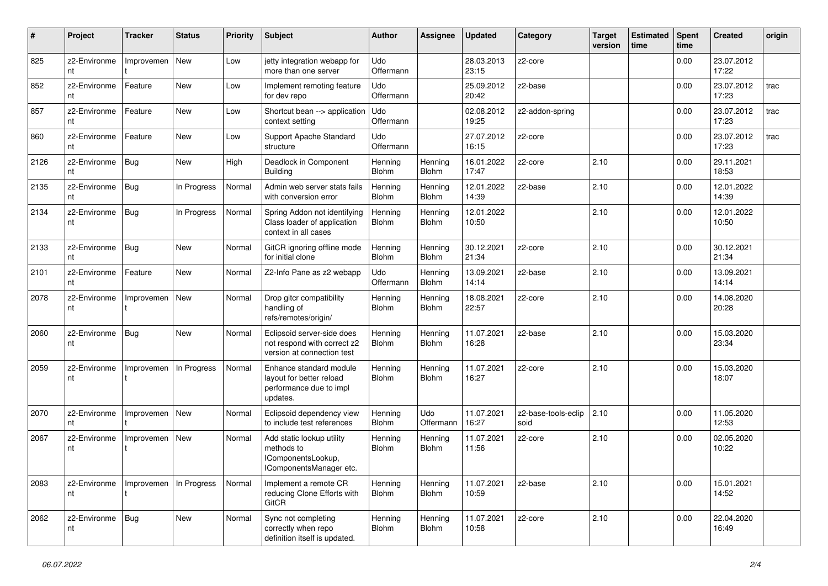| #    | Project            | <b>Tracker</b> | <b>Status</b> | <b>Priority</b> | <b>Subject</b>                                                                             | <b>Author</b>           | Assignee                | <b>Updated</b>      | Category                    | <b>Target</b><br>version | <b>Estimated</b><br>time | <b>Spent</b><br>time | <b>Created</b>      | origin |
|------|--------------------|----------------|---------------|-----------------|--------------------------------------------------------------------------------------------|-------------------------|-------------------------|---------------------|-----------------------------|--------------------------|--------------------------|----------------------|---------------------|--------|
| 825  | z2-Environme<br>nt | Improvemen     | New           | Low             | jetty integration webapp for<br>more than one server                                       | Udo<br>Offermann        |                         | 28.03.2013<br>23:15 | z2-core                     |                          |                          | 0.00                 | 23.07.2012<br>17:22 |        |
| 852  | z2-Environme<br>nt | Feature        | <b>New</b>    | Low             | Implement remoting feature<br>for dev repo                                                 | Udo<br>Offermann        |                         | 25.09.2012<br>20:42 | z2-base                     |                          |                          | 0.00                 | 23.07.2012<br>17:23 | trac   |
| 857  | z2-Environme<br>nt | Feature        | New           | Low             | Shortcut bean --> application<br>context setting                                           | Udo<br>Offermann        |                         | 02.08.2012<br>19:25 | z2-addon-spring             |                          |                          | 0.00                 | 23.07.2012<br>17:23 | trac   |
| 860  | z2-Environme<br>nt | Feature        | <b>New</b>    | Low             | Support Apache Standard<br>structure                                                       | Udo<br>Offermann        |                         | 27.07.2012<br>16:15 | z2-core                     |                          |                          | 0.00                 | 23.07.2012<br>17:23 | trac   |
| 2126 | z2-Environme<br>nt | Bug            | <b>New</b>    | High            | Deadlock in Component<br><b>Building</b>                                                   | Henning<br>Blohm        | Hennina<br>Blohm        | 16.01.2022<br>17:47 | z2-core                     | 2.10                     |                          | 0.00                 | 29.11.2021<br>18:53 |        |
| 2135 | z2-Environme<br>nt | <b>Bug</b>     | In Progress   | Normal          | Admin web server stats fails<br>with conversion error                                      | Henning<br>Blohm        | Henning<br><b>Blohm</b> | 12.01.2022<br>14:39 | z2-base                     | 2.10                     |                          | 0.00                 | 12.01.2022<br>14:39 |        |
| 2134 | z2-Environme<br>nt | Bug            | In Progress   | Normal          | Spring Addon not identifying<br>Class loader of application<br>context in all cases        | Henning<br>Blohm        | Henning<br>Blohm        | 12.01.2022<br>10:50 |                             | 2.10                     |                          | 0.00                 | 12.01.2022<br>10:50 |        |
| 2133 | z2-Environme<br>nt | Bug            | <b>New</b>    | Normal          | GitCR ignoring offline mode<br>for initial clone                                           | Henning<br>Blohm        | Henning<br><b>Blohm</b> | 30.12.2021<br>21:34 | z2-core                     | 2.10                     |                          | 0.00                 | 30.12.2021<br>21:34 |        |
| 2101 | z2-Environme<br>nt | Feature        | <b>New</b>    | Normal          | Z2-Info Pane as z2 webapp                                                                  | Udo<br>Offermann        | Henning<br><b>Blohm</b> | 13.09.2021<br>14:14 | z2-base                     | 2.10                     |                          | 0.00                 | 13.09.2021<br>14:14 |        |
| 2078 | z2-Environme<br>nt | Improvemen     | New           | Normal          | Drop gitcr compatibility<br>handling of<br>refs/remotes/origin/                            | Henning<br>Blohm        | Henning<br>Blohm        | 18.08.2021<br>22:57 | z2-core                     | 2.10                     |                          | 0.00                 | 14.08.2020<br>20:28 |        |
| 2060 | z2-Environme<br>nt | <b>Bug</b>     | New           | Normal          | Eclipsoid server-side does<br>not respond with correct z2<br>version at connection test    | Henning<br>Blohm        | Henning<br>Blohm        | 11.07.2021<br>16:28 | z2-base                     | 2.10                     |                          | 0.00                 | 15.03.2020<br>23:34 |        |
| 2059 | z2-Environme<br>nt | Improvemen     | In Progress   | Normal          | Enhance standard module<br>layout for better reload<br>performance due to impl<br>updates. | Henning<br>Blohm        | Henning<br>Blohm        | 11.07.2021<br>16:27 | z2-core                     | 2.10                     |                          | 0.00                 | 15.03.2020<br>18:07 |        |
| 2070 | z2-Environme<br>nt | Improvemen     | New           | Normal          | Eclipsoid dependency view<br>to include test references                                    | Henning<br><b>Blohm</b> | Udo<br>Offermann        | 11.07.2021<br>16:27 | z2-base-tools-eclip<br>soid | 2.10                     |                          | 0.00                 | 11.05.2020<br>12:53 |        |
| 2067 | z2-Environme<br>nt | Improvemen     | New           | Normal          | Add static lookup utility<br>methods to<br>IComponentsLookup,<br>IComponentsManager etc.   | Henning<br>Blohm        | Henning<br><b>Blohm</b> | 11.07.2021<br>11:56 | z2-core                     | 2.10                     |                          | 0.00                 | 02.05.2020<br>10:22 |        |
| 2083 | z2-Environme<br>nt | Improvemen     | In Progress   | Normal          | Implement a remote CR<br>reducing Clone Efforts with<br>GitCR                              | Henning<br>Blohm        | Henning<br>Blohm        | 11.07.2021<br>10:59 | z2-base                     | 2.10                     |                          | 0.00                 | 15.01.2021<br>14:52 |        |
| 2062 | z2-Environme<br>nt | Bug            | New           | Normal          | Sync not completing<br>correctly when repo<br>definition itself is updated.                | Henning<br>Blohm        | Henning<br>Blohm        | 11.07.2021<br>10:58 | z2-core                     | 2.10                     |                          | 0.00                 | 22.04.2020<br>16:49 |        |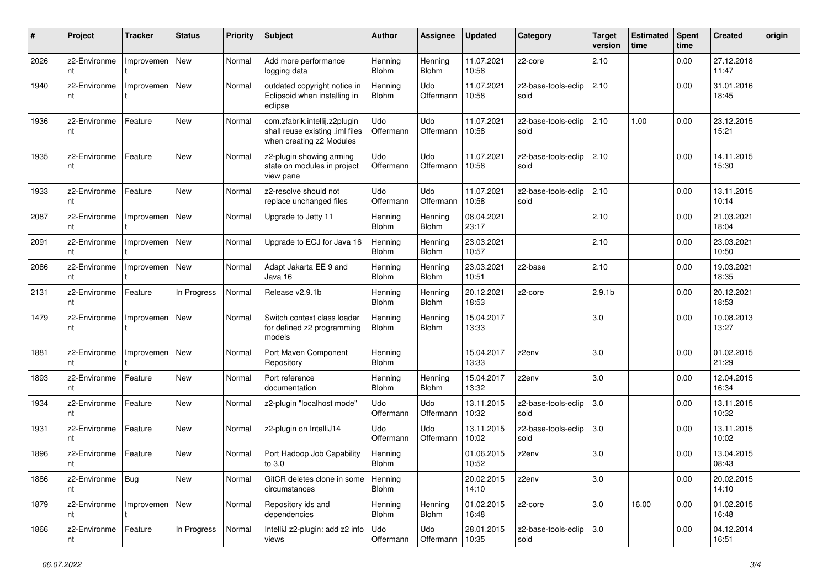| #    | Project            | <b>Tracker</b>   | <b>Status</b> | <b>Priority</b> | Subject                                                                                      | <b>Author</b>           | Assignee                | <b>Updated</b>      | Category                    | <b>Target</b><br>version | <b>Estimated</b><br>time | <b>Spent</b><br>time | <b>Created</b>      | origin |
|------|--------------------|------------------|---------------|-----------------|----------------------------------------------------------------------------------------------|-------------------------|-------------------------|---------------------|-----------------------------|--------------------------|--------------------------|----------------------|---------------------|--------|
| 2026 | z2-Environme<br>nt | Improvemen       | New           | Normal          | Add more performance<br>logging data                                                         | Henning<br>Blohm        | Henning<br><b>Blohm</b> | 11.07.2021<br>10:58 | z2-core                     | 2.10                     |                          | 0.00                 | 27.12.2018<br>11:47 |        |
| 1940 | z2-Environme<br>nt | Improvemen       | New           | Normal          | outdated copyright notice in<br>Eclipsoid when installing in<br>eclipse                      | Henning<br>Blohm        | Udo<br>Offermann        | 11.07.2021<br>10:58 | z2-base-tools-eclip<br>soid | 2.10                     |                          | 0.00                 | 31.01.2016<br>18:45 |        |
| 1936 | z2-Environme<br>nt | Feature          | <b>New</b>    | Normal          | com.zfabrik.intellij.z2plugin<br>shall reuse existing .iml files<br>when creating z2 Modules | Udo<br>Offermann        | Udo<br>Offermann        | 11.07.2021<br>10:58 | z2-base-tools-eclip<br>soid | 2.10                     | 1.00                     | 0.00                 | 23.12.2015<br>15:21 |        |
| 1935 | z2-Environme<br>nt | Feature          | <b>New</b>    | Normal          | z2-plugin showing arming<br>state on modules in project<br>view pane                         | Udo<br>Offermann        | Udo<br>Offermann        | 11.07.2021<br>10:58 | z2-base-tools-eclip<br>soid | 2.10                     |                          | 0.00                 | 14.11.2015<br>15:30 |        |
| 1933 | z2-Environme<br>nt | Feature          | <b>New</b>    | Normal          | z2-resolve should not<br>replace unchanged files                                             | Udo<br>Offermann        | Udo<br>Offermann        | 11.07.2021<br>10:58 | z2-base-tools-eclip<br>soid | 2.10                     |                          | 0.00                 | 13.11.2015<br>10:14 |        |
| 2087 | z2-Environme<br>nt | Improvemen       | <b>New</b>    | Normal          | Upgrade to Jetty 11                                                                          | Henning<br>Blohm        | Henning<br><b>Blohm</b> | 08.04.2021<br>23:17 |                             | 2.10                     |                          | 0.00                 | 21.03.2021<br>18:04 |        |
| 2091 | z2-Environme<br>nt | Improvemen       | New           | Normal          | Upgrade to ECJ for Java 16                                                                   | Henning<br><b>Blohm</b> | Henning<br><b>Blohm</b> | 23.03.2021<br>10:57 |                             | 2.10                     |                          | 0.00                 | 23.03.2021<br>10:50 |        |
| 2086 | z2-Environme<br>nt | Improvemen       | New           | Normal          | Adapt Jakarta EE 9 and<br>Java 16                                                            | Henning<br>Blohm        | Henning<br><b>Blohm</b> | 23.03.2021<br>10:51 | z2-base                     | 2.10                     |                          | 0.00                 | 19.03.2021<br>18:35 |        |
| 2131 | z2-Environme<br>nt | Feature          | In Progress   | Normal          | Release v2.9.1b                                                                              | Henning<br>Blohm        | Henning<br><b>Blohm</b> | 20.12.2021<br>18:53 | z2-core                     | 2.9.1 <sub>b</sub>       |                          | 0.00                 | 20.12.2021<br>18:53 |        |
| 1479 | z2-Environme<br>nt | Improvemen       | New           | Normal          | Switch context class loader<br>for defined z2 programming<br>models                          | Henning<br>Blohm        | Henning<br><b>Blohm</b> | 15.04.2017<br>13:33 |                             | 3.0                      |                          | 0.00                 | 10.08.2013<br>13:27 |        |
| 1881 | z2-Environme<br>nt | Improvemen       | New           | Normal          | Port Maven Component<br>Repository                                                           | Henning<br>Blohm        |                         | 15.04.2017<br>13:33 | z2env                       | 3.0                      |                          | 0.00                 | 01.02.2015<br>21:29 |        |
| 1893 | z2-Environme<br>nt | Feature          | New           | Normal          | Port reference<br>documentation                                                              | Henning<br>Blohm        | Henning<br>Blohm        | 15.04.2017<br>13:32 | z2env                       | 3.0                      |                          | 0.00                 | 12.04.2015<br>16:34 |        |
| 1934 | z2-Environme<br>nt | Feature          | New           | Normal          | z2-plugin "localhost mode"                                                                   | Udo<br>Offermann        | Udo<br>Offermann        | 13.11.2015<br>10:32 | z2-base-tools-eclip<br>soid | 3.0                      |                          | 0.00                 | 13.11.2015<br>10:32 |        |
| 1931 | z2-Environme<br>nt | Feature          | New           | Normal          | z2-plugin on IntelliJ14                                                                      | Udo<br>Offermann        | Udo<br>Offermann        | 13.11.2015<br>10:02 | z2-base-tools-eclip<br>soid | 3.0                      |                          | 0.00                 | 13.11.2015<br>10:02 |        |
| 1896 | z2-Environme<br>nt | Feature          | <b>New</b>    | Normal          | Port Hadoop Job Capability<br>to 3.0                                                         | Henning<br><b>Blohm</b> |                         | 01.06.2015<br>10:52 | z2env                       | 3.0                      |                          | 0.00                 | 13.04.2015<br>08:43 |        |
| 1886 | z2-Environme<br>nt | <b>Bug</b>       | New           | Normal          | GitCR deletes clone in some<br>circumstances                                                 | Henning<br>Blohm        |                         | 20.02.2015<br>14:10 | z2env                       | 3.0                      |                          | 0.00                 | 20.02.2015<br>14:10 |        |
| 1879 | z2-Environme<br>nt | Improvemen   New |               | Normal          | Repository ids and<br>dependencies                                                           | Henning<br>Blohm        | Henning<br>Blohm        | 01.02.2015<br>16:48 | z2-core                     | 3.0                      | 16.00                    | 0.00                 | 01.02.2015<br>16:48 |        |
| 1866 | z2-Environme<br>nt | Feature          | In Progress   | Normal          | IntelliJ z2-plugin: add z2 info<br>views                                                     | Udo<br>Offermann        | Udo<br>Offermann        | 28.01.2015<br>10:35 | z2-base-tools-eclip<br>soid | 3.0                      |                          | 0.00                 | 04.12.2014<br>16:51 |        |